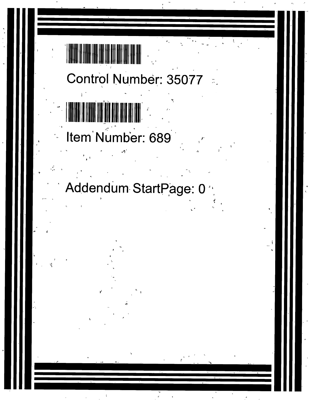# Control Number: 35077



Item Number: 689

## Addendum StartPage: 0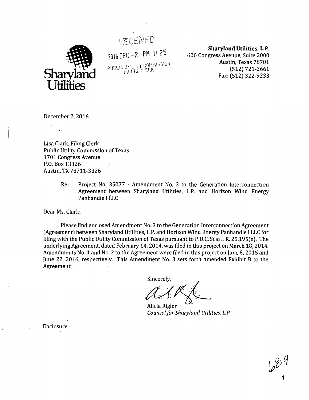

RÉCEIVED.

2016 OEC —2 PM 1: 25 PUBLIC UTILITY COMMISSION<br>FILING CLERK

**Sharyland Utilities, L.P.**  600 Congress Avenue, Suite 2000 Austin, Texas 78701 (512) 721-2661 Fax: (512) 322-9233

December 2, 2016

Lisa Clark, Filing Clerk Public Utility Commission of Texas 1701 Congress Avenue P.O. Box 13326 Austin, TX 78711-3326

> Re: Project No. 35077 - Amendment No. 3 to the Generation Interconnection Agreement between Sharyland Utilities, L.P. and Horizon Wind Energy Panhandle I LLC

Dear Ms. Clark:

Please find enclosed Amendment No. 3 to the Generation Interconnection Agreement (Agreement) between Sharyland Utilities, L.P. and Horizon Wind Energy Panhandle I LLC for filing with the Public Utility Commission of. Texas pursuant to P.U.C. SUBST. R. 25.195(e). The underlying Agreement, dated February 14, 2014, was filed in this project on March 18, 2014. Amendments No. 1 and No. 2 to the Agreement were filed in this project on June 8, 2015 and June 22, 2016, respectively. This Amendment No. 3 sets forth amended Exhibit B to the Agreement.

Sincerely,

Alicia Rigler *Counsel for Sharyland Utilities, L.P.* 

Enclosure

1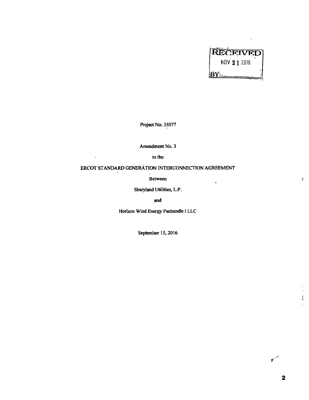

 $\ddot{\mathbf{r}}$ 

**Project No. 35077** 

**Amendment No. 3** 

**to the** 

 $\ddot{\phantom{1}}$ 

### **ERCOT STANDARD GENERATION INTERCONNECTION AGREEMENT**

**Between** 

**Sharyland Utilities, L.P.** 

**and** 

**Horizon Wind Energy Panhandle I LLC** 

**September 15, 2016** 

 $n^{2}$ 

 $\mathbf{I}$ 

 $\frac{1}{2}$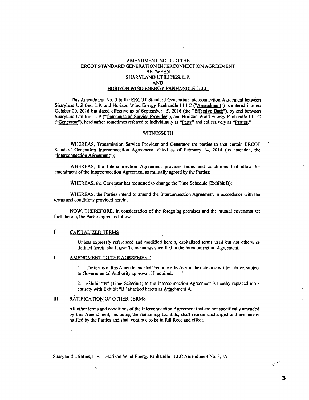#### AMENDMENT NO. 3 TO THE ERCOT STANDARD GENERATION INTERCONNECTION AGREEMENT **BETWEEN** SHARYLAND UTILITIES, L.P. AND HORIZON WIND ENERGY PANHANDLE I LLC

This Amendment No. 3 to the ERCOT Standard Generation Interconnection Agreement between Sharyland Utilities, L.P. and Horizon Wind Energy Panhandle I LLC ("Amendment") is entered into on October 20, 2016 but dated effective as of September 15, 2016 (the "Effective Date"), by and between Sharyland Utilities, L.P ("Transmission Service Provider"), and Horizon Wind Energy Panhandle I LLC ("Generator"), hereinafter sometimes referred to individually as "Party" and collectively as "Parties."

#### **WITNESSETH**

WHEREAS, Transmission Service Provider and Generator are parties to that certain ERCOT Standard Generation Interconnection Agreement, dated as of February 14, 2014 (as amended, the "Interconnection Agreement");

WHEREAS, the Interconnection Agreement provides terms and conditions that allow for amendment of the Interconnection Agreement as mutually agreed by the Parties;

WHEREAS, the Generator has requested to change the Time Schedule (Exhibit B);

WHEREAS, the Parties intend to amend the Interconnection Agreement in accordance with the terms and conditions provided herein.

NOW, THEREFORE, in consideration of the foregoing premises and the mutual covenants set forth herein, the Parties agree as follows:

#### Ê. CAPITALIZED TERMS

Unless expressly referenced and modified herein, capitalized terms used but not otherwise defined herein shall have the meanings specified in the Interconnection Agreement.

#### 11. AMENDMENT TO THE AGREEMENT

1. The terms of this Amendment shall become effective on the date first written above, subject to Governmental Authority approval, if required.

2. Exhibit "B" (Time Schedule) to the Interconnection Agreement is hereby replaced in its entirety with Exhibit "B" attached hereto as Attachment A.

#### 111. RATIFICATION OF OTHER TERMS

ų.

All other terms and conditions of the Interconnection Agreement that are not specifically amended by this Amendment, including the remaining Exhibits, shall remain unchanged and are hereby ratified by the Parties and shall continue to be in full force and effect.

Sharyland Utilities, L.P. — Horizon Wind Energy Panhandle **I** LLC Amendment No. 3, IA

3

ŧ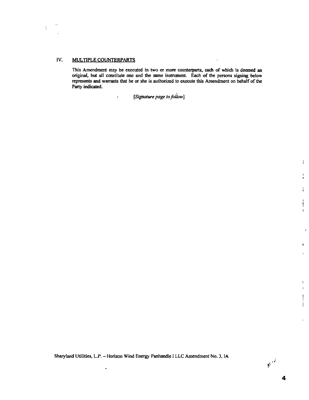#### **IV. MULTIPLE COUNTERPARTS**

 $\mathbf{r}$ 

 $\frac{1}{2}$ 

**This Amendment may be executed in two or more counterparts, each of which is deemed an original, but all constitute one and the same instrument. Each of the persons signing below represents and warrants that he or she is authorized to execute this Arnendment on behalf of the Party indicated.** 

 $\ddot{\phantom{a}}$ 

*(Sighature page to follow]* 

**Sharyland Utilities, L.P. — Horizon Wind Energy Panhandle I LLC Amendment No. 3, IA** 

.,

 $\mathbb{M}^{\mathcal{A}}$ 

 $\mathbf{r}$ 

 $\bullet$ 

j  $\mathbf{f}$ 

 $\ddot{\phantom{a}}$ 

 $\mathbf{I}$  $\bar{\mathbf{r}}$ 

 $\mathbf{I}$  $\mathbf{1}$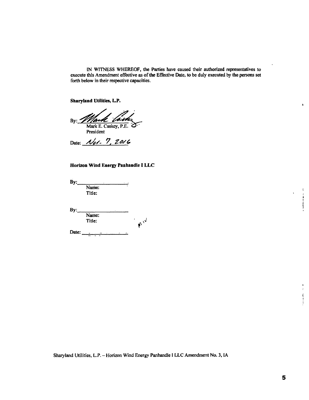IN WITNESS WHEREOF, the Parties have caused their authorized representatives to execute this Amendment effective as of the Effective Date, to be duly executed by the persons set forth below in their respective capacities.

**Sharyland Utilities, L.P.** 

By: Mark E. Caskey, P.E. President

Date: *Not.* 7, 2016

#### **Horizon Wind Energy Panhandle I LLC**

By: Name: Title: By: Name: Title: **10 iv** Date:

Sharyland Utilities, L.P. — Horizon Wind Energy Panhandle I LLC Amendment No. 3, IA

 $\epsilon$  $\pmb{\mathfrak{c}}$ 

 $\ddot{\bullet}$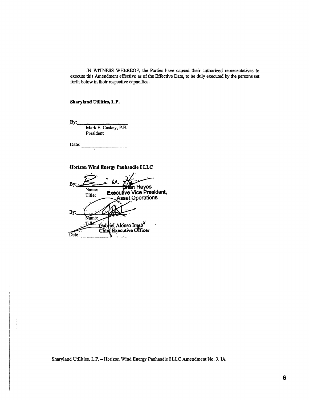IN WITNESS WHEREOF, the Parties have caused their authorized representatives to execute this Amendment effective as of the Effective Date, to be duly executed by the persons set forth below in their respective capacities.

**Sharyland Utilities, L.P.** 

**By:** 

Mark **E.** Caskey, P.E. President

Date:

**Horizon Wind Energy Panhandle I LLC** 

Bv **n Hayes**  Name: **Executive Vice President,**  Title: **sset Operations**  By: Name: Gabriel Alonso Imaz<sup>y</sup><br>Chief Executive Officer **Title:** Date:

Sharyland Utilities, L.P. — Horizon Wind Energy Panhandle **I** LLC Amendment No. 3, IA